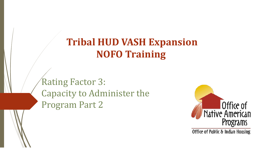# **Tribal HUD VASH Expansion NOFO Training**

Rating Factor 3: Capacity to Administer the Program Part 2



Office of Pablic & Indian Housing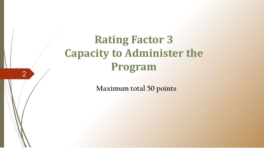# **Rating Factor 3 Capacity to Administer the Program**

2

**Maximum total 50 points**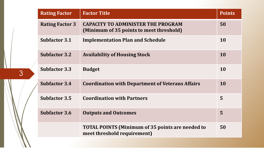| <b>Rating Factor</b>   | <b>Factor Title</b>                                                                    | <b>Points</b> |
|------------------------|----------------------------------------------------------------------------------------|---------------|
| <b>Rating Factor 3</b> | <b>CAPACITY TO ADMINISTER THE PROGRAM</b><br>(Minimum of 35 points to meet threshold)  | 50            |
| <b>Subfactor 3.1</b>   | <b>Implementation Plan and Schedule</b>                                                | <b>10</b>     |
| <b>Subfactor 3.2</b>   | <b>Availability of Housing Stock</b>                                                   | <b>10</b>     |
| <b>Subfactor 3.3</b>   | <b>Budget</b>                                                                          | 10            |
| <b>Subfactor 3.4</b>   | <b>Coordination with Department of Veterans Affairs</b>                                | <b>10</b>     |
| <b>Subfactor 3.5</b>   | <b>Coordination with Partners</b>                                                      | 5             |
| <b>Subfactor 3.6</b>   | <b>Outputs and Outcomes</b>                                                            | 5             |
|                        | <b>TOTAL POINTS (Minimum of 35 points are needed to</b><br>meet threshold requirement) | 50            |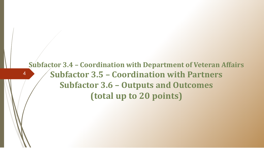#### **Subfactor 3.4 – Coordination with Department of Veteran Affairs Subfactor 3.5 – Coordination with Partners Subfactor 3.6 – Outputs and Outcomes (total up to 20 points)**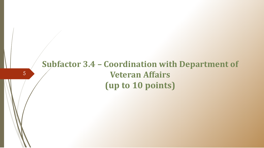### **Subfactor 3.4 – Coordination with Department of Veteran Affairs (up to 10 points)**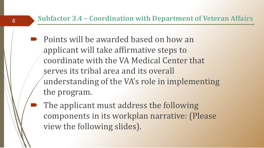- Points will be awarded based on how an applicant will take affirmative steps to coordinate with the VA Medical Center that serves its tribal area and its overall understanding of the VA's role in implementing the program.
- The applicant must address the following components in its workplan narrative: (Please view the following slides).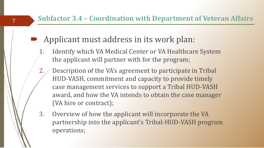#### **Subfactor 3.4 – Coordination with Department of Veteran Affairs**

Applicant must address in its work plan:

- Identify which VA Medical Center or VA Healthcare System the applicant will partner with for the program;
- 2. Description of the VA's agreement to participate in Tribal HUD-VASH, commitment and capacity to provide timely case management services to support a Tribal HUD-VASH award, and how the VA intends to obtain the case manager (VA hire or contract);
- 3. Overview of how the applicant will incorporate the VA partnership into the applicant's Tribal-HUD-VASH program operations;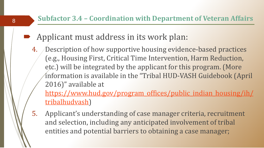#### **Subfactor 3.4 – Coordination with Department of Veteran Affairs**

- Applicant must address in its work plan:
- 4. Description of how supportive housing evidence-based practices (e.g., Housing First, Critical Time Intervention, Harm Reduction, etc.) will be integrated by the applicant for this program. (More information is available in the "Tribal HUD-VASH Guidebook (April 2016)" available at

[https://www.hud.gov/program\\_offices/public\\_indian\\_housing/ih/](https://www.hud.gov/program_offices/public_indian_housing/ih/tribalhudvash) tribalhudvash)

5. Applicant's understanding of case manager criteria, recruitment and selection, including any anticipated involvement of tribal entities and potential barriers to obtaining a case manager;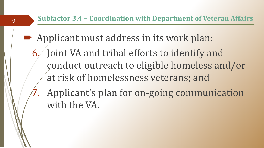- Applicant must address in its work plan:
	- 6. Joint VA and tribal efforts to identify and conduct outreach to eligible homeless and/or at risk of homelessness veterans; and
		- Applicant's plan for on-going communication with the VA.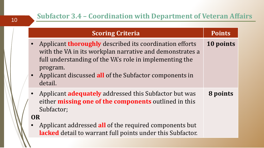|                        | <b>Scoring Criteria</b>                                                                                                                                                                                                                                                     | <b>Points</b> |
|------------------------|-----------------------------------------------------------------------------------------------------------------------------------------------------------------------------------------------------------------------------------------------------------------------------|---------------|
| $\bullet$<br>$\bullet$ | Applicant <b>thoroughly</b> described its coordination efforts<br>with the VA in its workplan narrative and demonstrates a<br>full understanding of the VA's role in implementing the<br>program.<br>Applicant discussed all of the Subfactor components in<br>detail.      | 10 points     |
| OR                     | • Applicant <b>adequately</b> addressed this Subfactor but was<br>either <b>missing one of the components</b> outlined in this<br>Subfactor;<br>Applicant addressed all of the required components but<br><b>lacked</b> detail to warrant full points under this Subfactor. | 8 points      |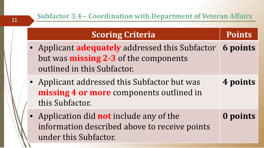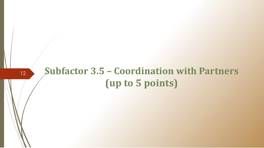# **Subfactor 3.5 – Coordination with Partners (up to 5 points)**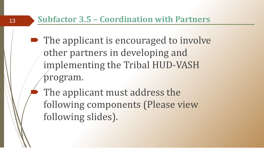#### **Subfactor 3.5 – Coordination with Partners**

• The applicant is encouraged to involve other partners in developing and implementing the Tribal HUD-VASH program.

 The applicant must address the following components (Please view following slides).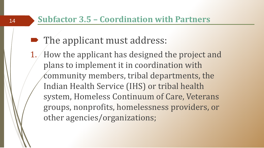#### **Subfactor 3.5 – Coordination with Partners**

# • The applicant must address:

1. How the applicant has designed the project and plans to implement it in coordination with community members, tribal departments, the Indian Health Service (IHS) or tribal health system, Homeless Continuum of Care, Veterans groups, nonprofits, homelessness providers, or other agencies/organizations;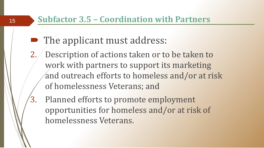#### **Subfactor 3.5 – Coordination with Partners**

- The applicant must address:
- 2. Description of actions taken or to be taken to work with partners to support its marketing and outreach efforts to homeless and/or at risk of homelessness Veterans; and
- 3. Planned efforts to promote employment opportunities for homeless and/or at risk of homelessness Veterans.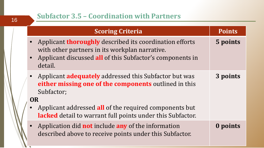$\overline{\phantom{a}}$ 

| <b>Scoring Criteria</b>                                                                                                                                                                  | <b>Points</b> |
|------------------------------------------------------------------------------------------------------------------------------------------------------------------------------------------|---------------|
| Applicant <b>thoroughly</b> described its coordination efforts<br>with other partners in its workplan narrative.<br>Applicant discussed all of this Subfactor's components in<br>detail. | 5 points      |
| Applicant <b>adequately</b> addressed this Subfactor but was<br>either missing one of the components outlined in this<br>Subfactor;                                                      | 3 points      |
| <b>OR</b><br>Applicant addressed all of the required components but<br><b>lacked</b> detail to warrant full points under this Subfactor.                                                 |               |
| Application did <b>not</b> include <b>any</b> of the information<br>described above to receive points under this Subfactor.                                                              | 0 points      |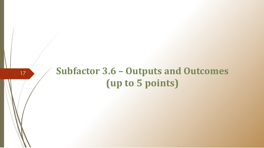# **Subfactor 3.6 – Outputs and Outcomes (up to 5 points)**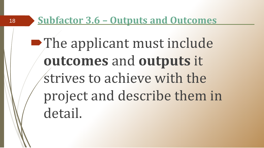18

• The applicant must include **outcomes** and **outputs** it strives to achieve with the project and describe them in detail.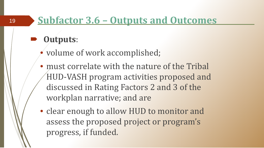### **Outputs**:

- volume of work accomplished;
- must correlate with the nature of the Tribal HUD-VASH program activities proposed and discussed in Rating Factors 2 and 3 of the workplan narrative; and are
- clear enough to allow HUD to monitor and assess the proposed project or program's progress, if funded.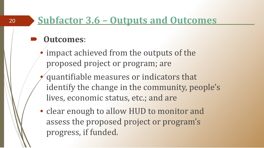### **Outcomes**:

20

impact achieved from the outputs of the proposed project or program; are

- quantifiable measures or indicators that identify the change in the community, people's lives, economic status, etc.; and are
- clear enough to allow HUD to monitor and assess the proposed project or program's progress, if funded.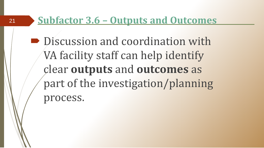■ Discussion and coordination with VA facility staff can help identify clear **outputs** and **outcomes** as part of the investigation/planning process.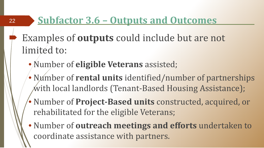- Examples of **outputs** could include but are not limited to:
	- Number of **eligible Veterans** assisted;

- Number of **rental units** identified/number of partnerships with local landlords (Tenant-Based Housing Assistance);
- Number of **Project-Based units** constructed, acquired, or rehabilitated for the eligible Veterans;
- Number of **outreach meetings and efforts** undertaken to coordinate assistance with partners.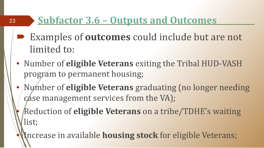23

- Examples of **outcomes** could include but are not limited to:
- Number of **eligible Veterans** exiting the Tribal HUD-VASH program to permanent housing;
- Number of **eligible Veterans** graduating (no longer needing case management services from the VA);

• Reduction of **eligible Veterans** on a tribe/TDHE's waiting list;

Increase in available **housing stock** for eligible Veterans;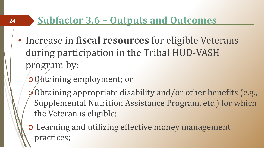- Increase in **fiscal resources** for eligible Veterans during participation in the Tribal HUD-VASH program by:
	- o Obtaining employment; or

- $\phi$ Obtaining appropriate disability and/or other benefits (e.g., Supplemental Nutrition Assistance Program, etc.) for which the Veteran is eligible;
- o Learning and utilizing effective money management practices;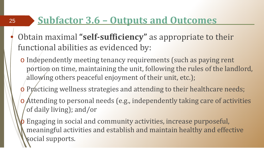25

- Obtain maximal **"self-sufficiency"** as appropriate to their functional abilities as evidenced by:
	- o Independently meeting tenancy requirements (such as paying rent portion on time, maintaining the unit, following the rules of the landlord, allowing others peaceful enjoyment of their unit, etc.);
	- o Practicing wellness strategies and attending to their healthcare needs;
	- o Attending to personal needs (e.g., independently taking care of activities of daily living); and/or

Engaging in social and community activities, increase purposeful, meaningful activities and establish and maintain healthy and effective social supports.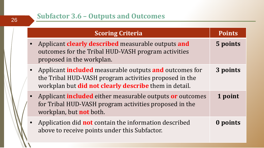| <b>Scoring Criteria</b>                                                                                                                                                          | <b>Points</b> |
|----------------------------------------------------------------------------------------------------------------------------------------------------------------------------------|---------------|
| Applicant <b>clearly described</b> measurable outputs and<br>outcomes for the Tribal HUD-VASH program activities<br>proposed in the workplan.                                    | 5 points      |
| Applicant included measurable outputs and outcomes for<br>the Tribal HUD-VASH program activities proposed in the<br>workplan but <b>did not clearly describe</b> them in detail. | 3 points      |
| Applicant <b>included</b> either measurable outputs <b>or</b> outcomes<br>for Tribal HUD-VASH program activities proposed in the<br>workplan, but <b>not</b> both.               | 1 point       |
| Application did <b>not</b> contain the information described<br>above to receive points under this Subfactor.                                                                    | 0 points      |